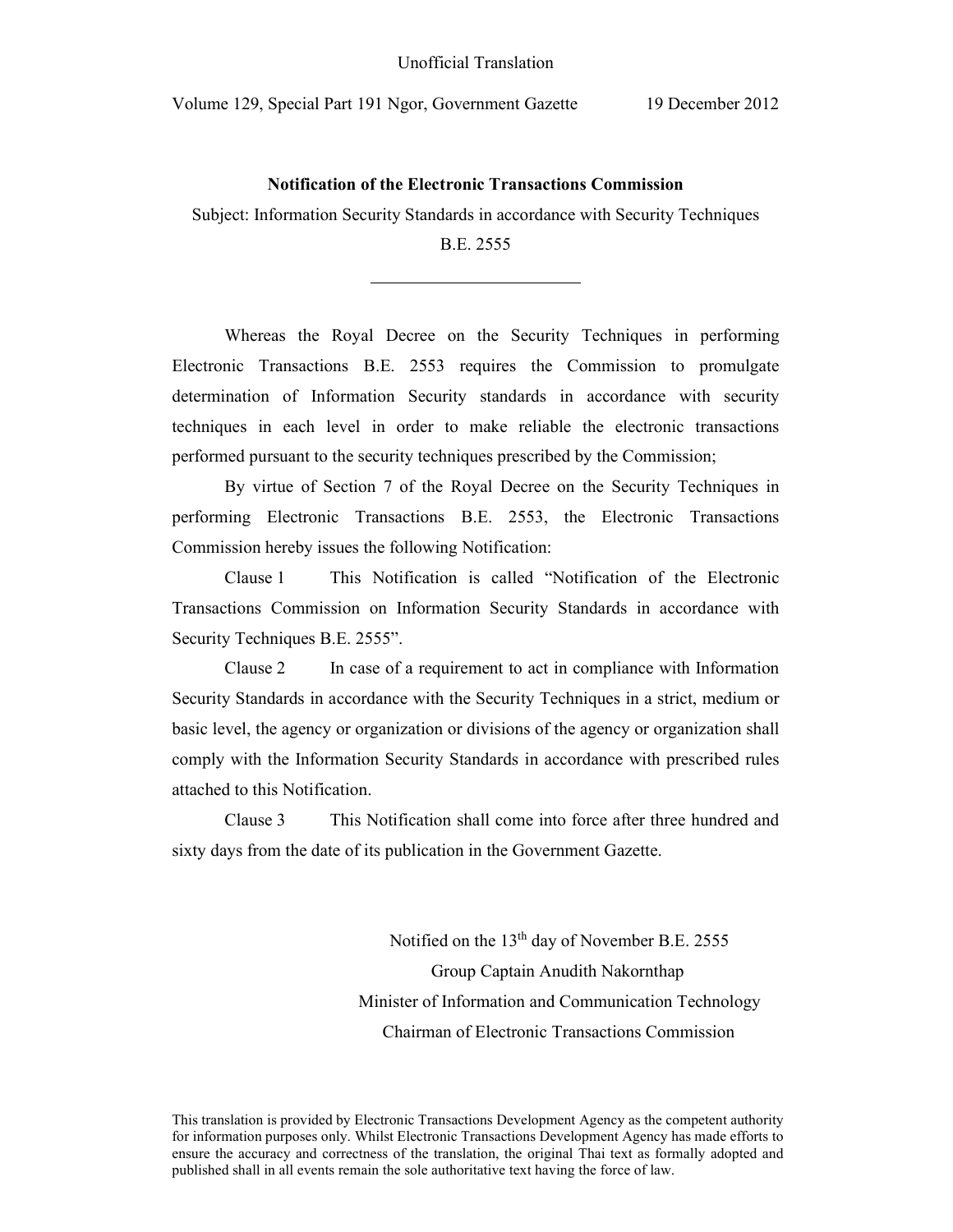$\overline{a}$ 

### **Notification of the Electronic Transactions Commission**

Subject: Information Security Standards in accordance with Security Techniques

### B.E. 2555

Whereas the Royal Decree on the Security Techniques in performing Electronic Transactions B.E. 2553 requires the Commission to promulgate determination of Information Security standards in accordance with security techniques in each level in order to make reliable the electronic transactions performed pursuant to the security techniques prescribed by the Commission;

By virtue of Section 7 of the Royal Decree on the Security Techniques in performing Electronic Transactions B.E. 2553, the Electronic Transactions Commission hereby issues the following Notification:

Clause 1 This Notification is called "Notification of the Electronic Transactions Commission on Information Security Standards in accordance with Security Techniques B.E. 2555".

Clause 2 In case of a requirement to act in compliance with Information Security Standards in accordance with the Security Techniques in a strict, medium or basic level, the agency or organization or divisions of the agency or organization shall comply with the Information Security Standards in accordance with prescribed rules attached to this Notification.

Clause 3This Notification shall come into force after three hundred and sixty days from the date of its publication in the Government Gazette.

> Notified on the 13<sup>th</sup> day of November B.E. 2555 Group Captain Anudith Nakornthap Minister of Information and Communication Technology Chairman of Electronic Transactions Commission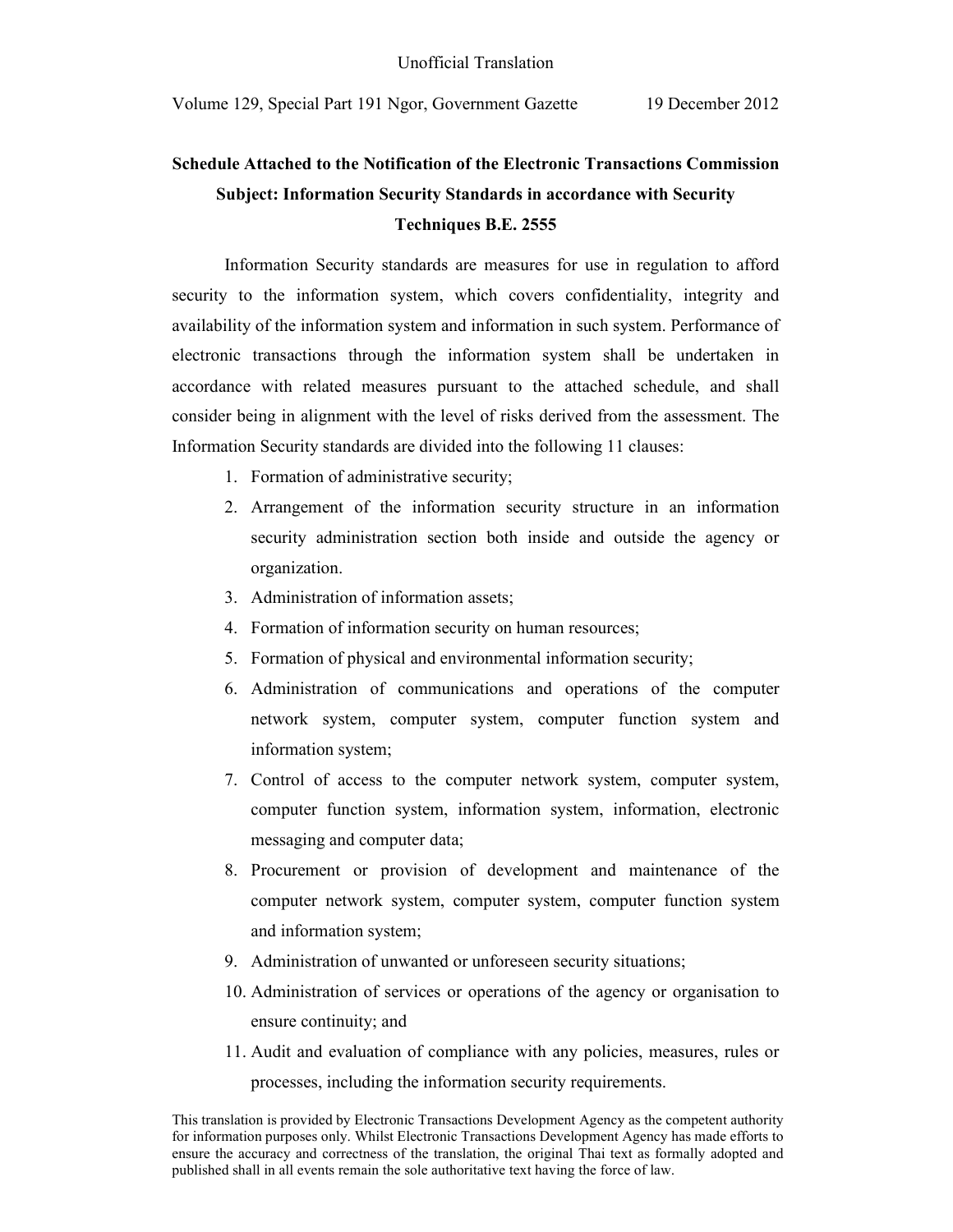# **Schedule Attached to the Notification of the Electronic Transactions Commission Subject: Information Security Standards in accordance with Security Techniques B.E. 2555**

Information Security standards are measures for use in regulation to afford security to the information system, which covers confidentiality, integrity and availability of the information system and information in such system. Performance of electronic transactions through the information system shall be undertaken in accordance with related measures pursuant to the attached schedule, and shall consider being in alignment with the level of risks derived from the assessment. The Information Security standards are divided into the following 11 clauses:

- 1. Formation of administrative security;
- 2. Arrangement of the information security structure in an information security administration section both inside and outside the agency or organization.
- 3. Administration of information assets;
- 4. Formation of information security on human resources;
- 5. Formation of physical and environmental information security;
- 6. Administration of communications and operations of the computer network system, computer system, computer function system and information system;
- 7. Control of access to the computer network system, computer system, computer function system, information system, information, electronic messaging and computer data;
- 8. Procurement or provision of development and maintenance of the computer network system, computer system, computer function system and information system;
- 9. Administration of unwanted or unforeseen security situations;
- 10. Administration of services or operations of the agency or organisation to ensure continuity; and
- 11. Audit and evaluation of compliance with any policies, measures, rules or processes, including the information security requirements.

This translation is provided by Electronic Transactions Development Agency as the competent authority for information purposes only. Whilst Electronic Transactions Development Agency has made efforts to ensure the accuracy and correctness of the translation, the original Thai text as formally adopted and published shall in all events remain the sole authoritative text having the force of law.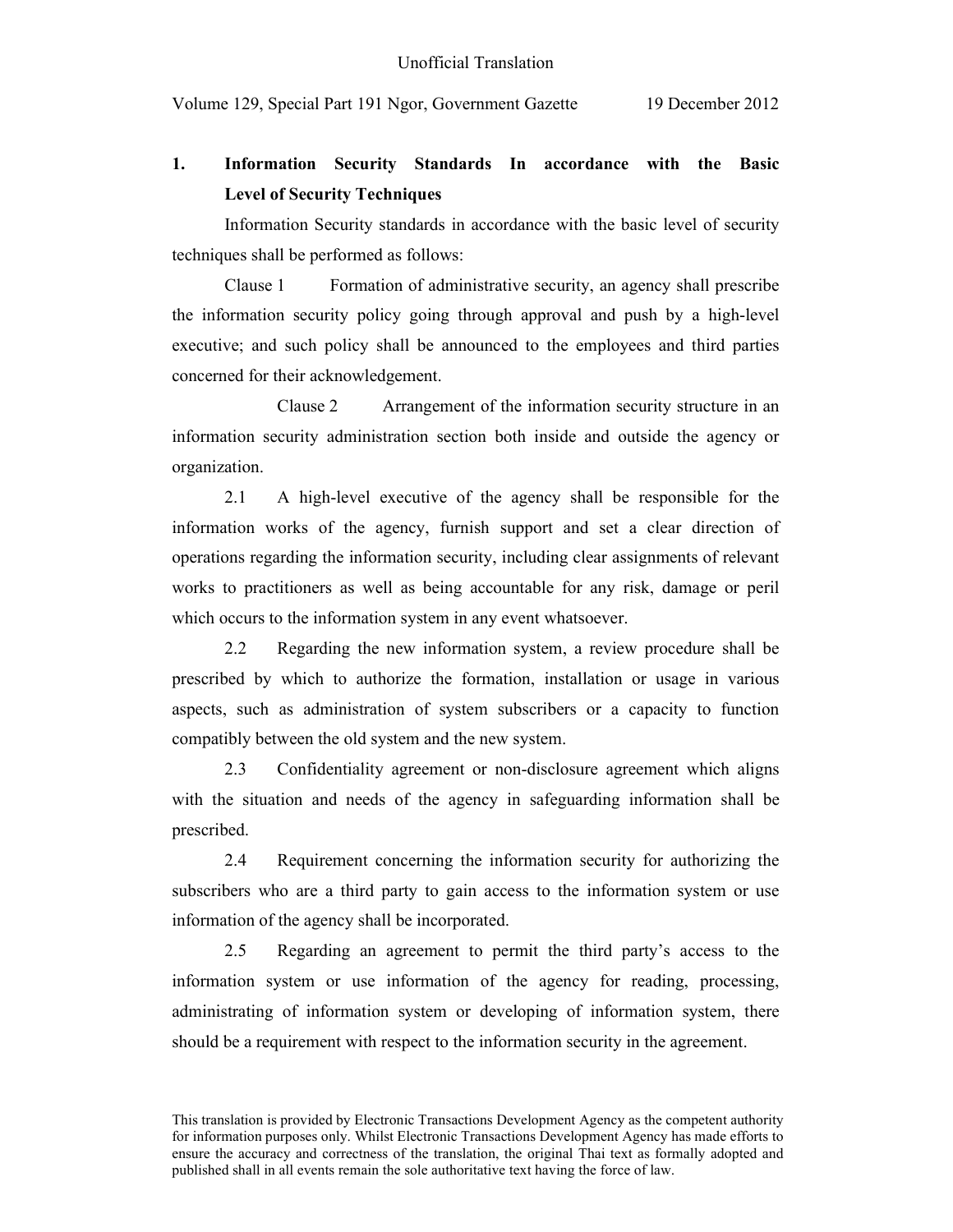## **1. Information Security Standards In accordance with the Basic Level of Security Techniques**

Information Security standards in accordance with the basic level of security techniques shall be performed as follows:

Clause 1 Formation of administrative security, an agency shall prescribe the information security policy going through approval and push by a high-level executive; and such policy shall be announced to the employees and third parties concerned for their acknowledgement.

 Clause 2 Arrangement of the information security structure in an information security administration section both inside and outside the agency or organization.

2.1 A high-level executive of the agency shall be responsible for the information works of the agency, furnish support and set a clear direction of operations regarding the information security, including clear assignments of relevant works to practitioners as well as being accountable for any risk, damage or peril which occurs to the information system in any event whatsoever.

2.2 Regarding the new information system, a review procedure shall be prescribed by which to authorize the formation, installation or usage in various aspects, such as administration of system subscribers or a capacity to function compatibly between the old system and the new system.

2.3 Confidentiality agreement or non-disclosure agreement which aligns with the situation and needs of the agency in safeguarding information shall be prescribed.

2.4 Requirement concerning the information security for authorizing the subscribers who are a third party to gain access to the information system or use information of the agency shall be incorporated.

2.5 Regarding an agreement to permit the third party's access to the information system or use information of the agency for reading, processing, administrating of information system or developing of information system, there should be a requirement with respect to the information security in the agreement.

This translation is provided by Electronic Transactions Development Agency as the competent authority for information purposes only. Whilst Electronic Transactions Development Agency has made efforts to ensure the accuracy and correctness of the translation, the original Thai text as formally adopted and published shall in all events remain the sole authoritative text having the force of law.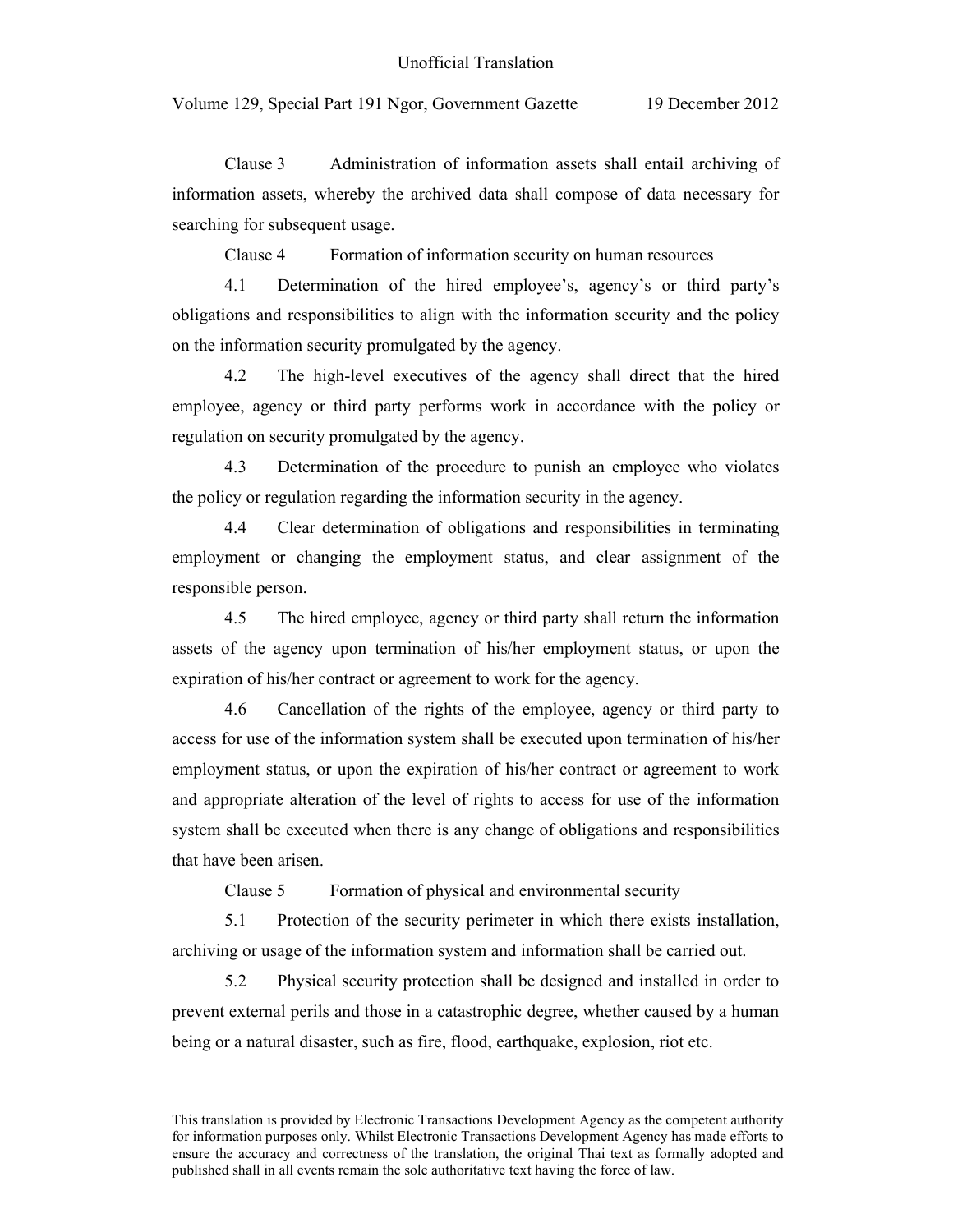Clause 3 Administration of information assets shall entail archiving of information assets, whereby the archived data shall compose of data necessary for searching for subsequent usage.

Clause 4 Formation of information security on human resources

4.1 Determination of the hired employee's, agency's or third party's obligations and responsibilities to align with the information security and the policy on the information security promulgated by the agency.

4.2 The high-level executives of the agency shall direct that the hired employee, agency or third party performs work in accordance with the policy or regulation on security promulgated by the agency.

4.3 Determination of the procedure to punish an employee who violates the policy or regulation regarding the information security in the agency.

4.4 Clear determination of obligations and responsibilities in terminating employment or changing the employment status, and clear assignment of the responsible person.

4.5 The hired employee, agency or third party shall return the information assets of the agency upon termination of his/her employment status, or upon the expiration of his/her contract or agreement to work for the agency.

4.6 Cancellation of the rights of the employee, agency or third party to access for use of the information system shall be executed upon termination of his/her employment status, or upon the expiration of his/her contract or agreement to work and appropriate alteration of the level of rights to access for use of the information system shall be executed when there is any change of obligations and responsibilities that have been arisen.

Clause 5 Formation of physical and environmental security

5.1 Protection of the security perimeter in which there exists installation, archiving or usage of the information system and information shall be carried out.

5.2 Physical security protection shall be designed and installed in order to prevent external perils and those in a catastrophic degree, whether caused by a human being or a natural disaster, such as fire, flood, earthquake, explosion, riot etc.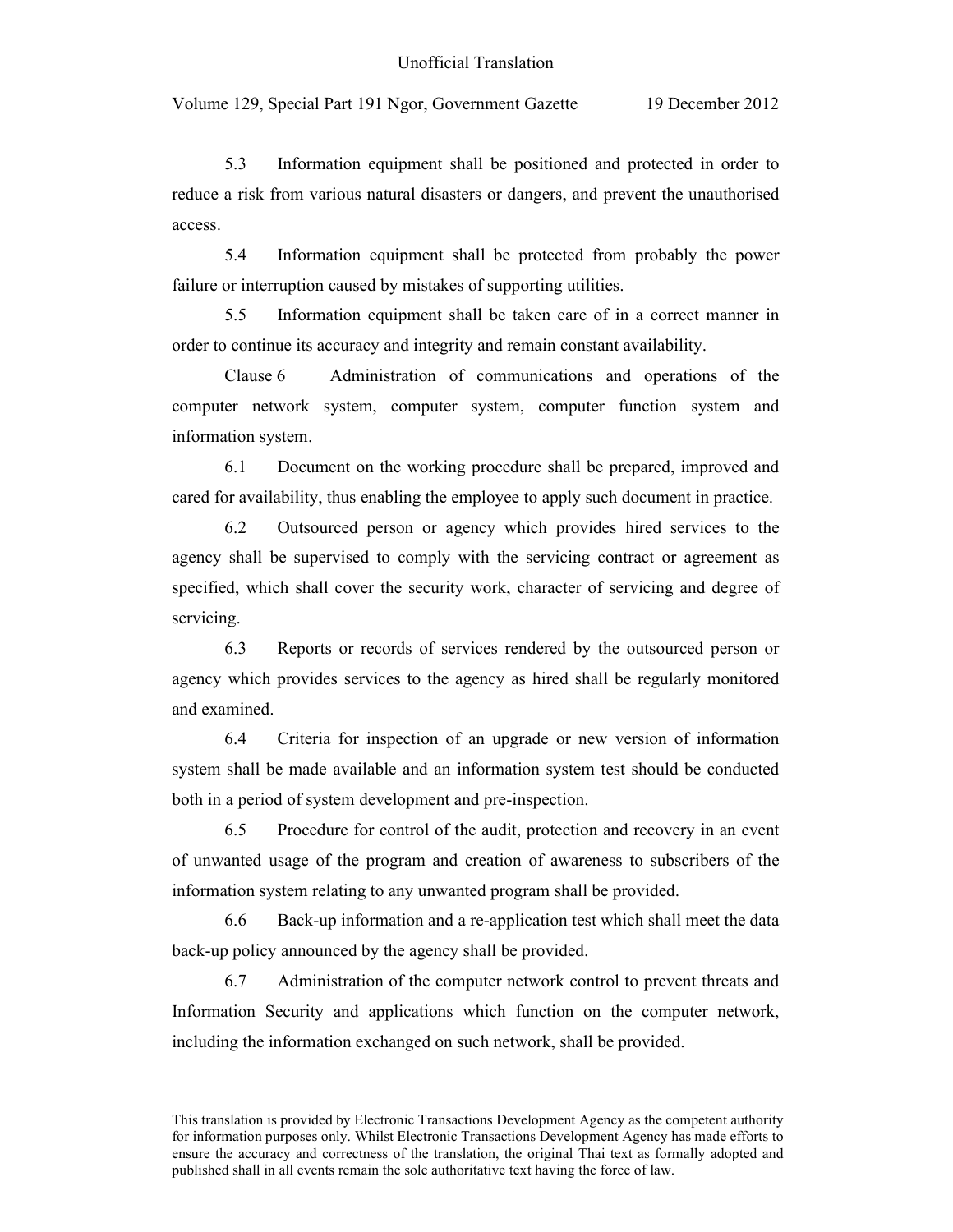5.3 Information equipment shall be positioned and protected in order to reduce a risk from various natural disasters or dangers, and prevent the unauthorised access.

5.4 Information equipment shall be protected from probably the power failure or interruption caused by mistakes of supporting utilities.

5.5 Information equipment shall be taken care of in a correct manner in order to continue its accuracy and integrity and remain constant availability.

Clause 6 Administration of communications and operations of the computer network system, computer system, computer function system and information system.

6.1 Document on the working procedure shall be prepared, improved and cared for availability, thus enabling the employee to apply such document in practice.

6.2 Outsourced person or agency which provides hired services to the agency shall be supervised to comply with the servicing contract or agreement as specified, which shall cover the security work, character of servicing and degree of servicing.

6.3 Reports or records of services rendered by the outsourced person or agency which provides services to the agency as hired shall be regularly monitored and examined.

6.4 Criteria for inspection of an upgrade or new version of information system shall be made available and an information system test should be conducted both in a period of system development and pre-inspection.

6.5 Procedure for control of the audit, protection and recovery in an event of unwanted usage of the program and creation of awareness to subscribers of the information system relating to any unwanted program shall be provided.

6.6 Back-up information and a re-application test which shall meet the data back-up policy announced by the agency shall be provided.

6.7 Administration of the computer network control to prevent threats and Information Security and applications which function on the computer network, including the information exchanged on such network, shall be provided.

This translation is provided by Electronic Transactions Development Agency as the competent authority for information purposes only. Whilst Electronic Transactions Development Agency has made efforts to ensure the accuracy and correctness of the translation, the original Thai text as formally adopted and published shall in all events remain the sole authoritative text having the force of law.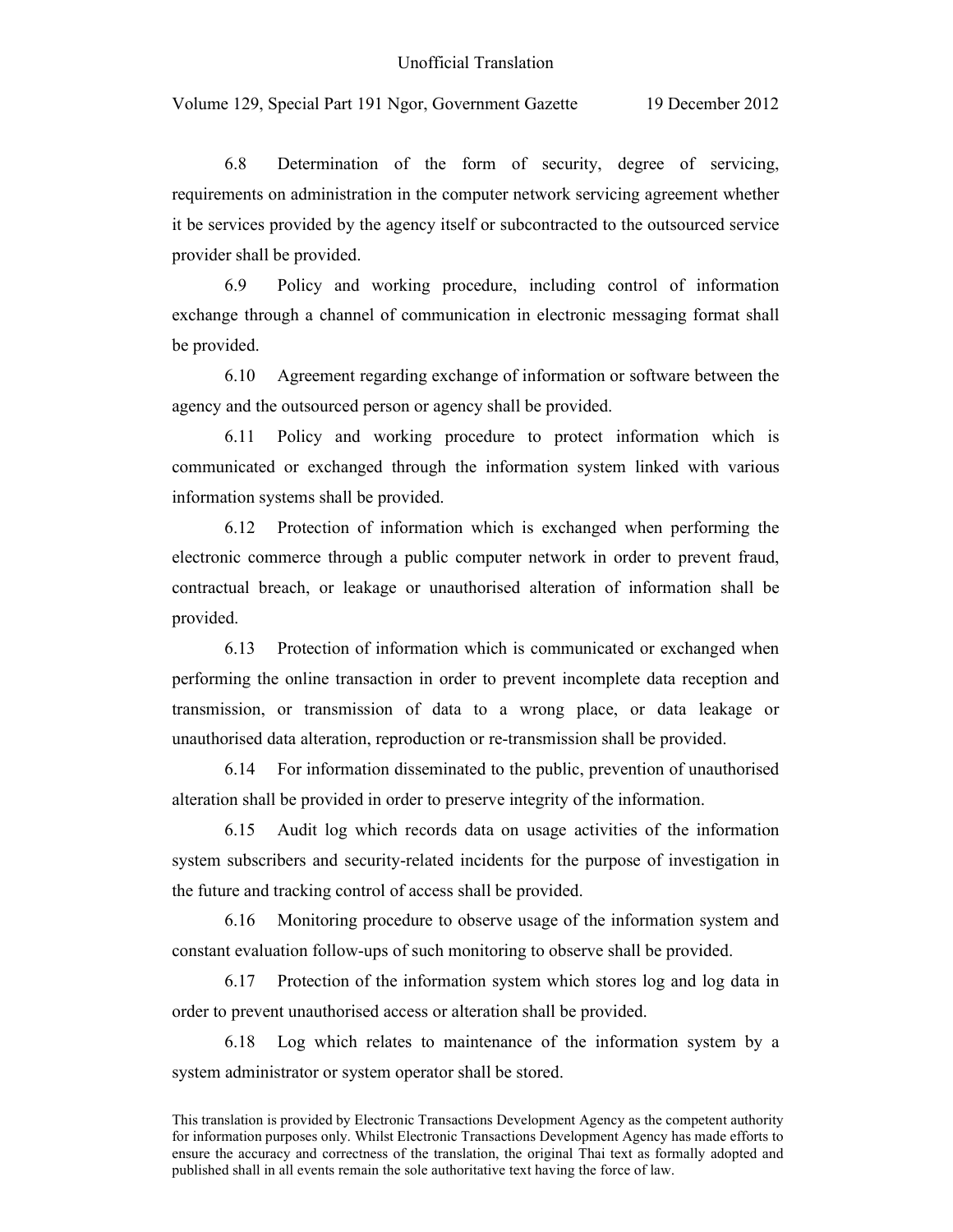6.8 Determination of the form of security, degree of servicing, requirements on administration in the computer network servicing agreement whether it be services provided by the agency itself or subcontracted to the outsourced service provider shall be provided.

6.9 Policy and working procedure, including control of information exchange through a channel of communication in electronic messaging format shall be provided.

6.10 Agreement regarding exchange of information or software between the agency and the outsourced person or agency shall be provided.

6.11 Policy and working procedure to protect information which is communicated or exchanged through the information system linked with various information systems shall be provided.

6.12 Protection of information which is exchanged when performing the electronic commerce through a public computer network in order to prevent fraud, contractual breach, or leakage or unauthorised alteration of information shall be provided.

6.13 Protection of information which is communicated or exchanged when performing the online transaction in order to prevent incomplete data reception and transmission, or transmission of data to a wrong place, or data leakage or unauthorised data alteration, reproduction or re-transmission shall be provided.

6.14 For information disseminated to the public, prevention of unauthorised alteration shall be provided in order to preserve integrity of the information.

6.15 Audit log which records data on usage activities of the information system subscribers and security-related incidents for the purpose of investigation in the future and tracking control of access shall be provided.

6.16 Monitoring procedure to observe usage of the information system and constant evaluation follow-ups of such monitoring to observe shall be provided.

6.17 Protection of the information system which stores log and log data in order to prevent unauthorised access or alteration shall be provided.

6.18 Log which relates to maintenance of the information system by a system administrator or system operator shall be stored.

This translation is provided by Electronic Transactions Development Agency as the competent authority for information purposes only. Whilst Electronic Transactions Development Agency has made efforts to ensure the accuracy and correctness of the translation, the original Thai text as formally adopted and published shall in all events remain the sole authoritative text having the force of law.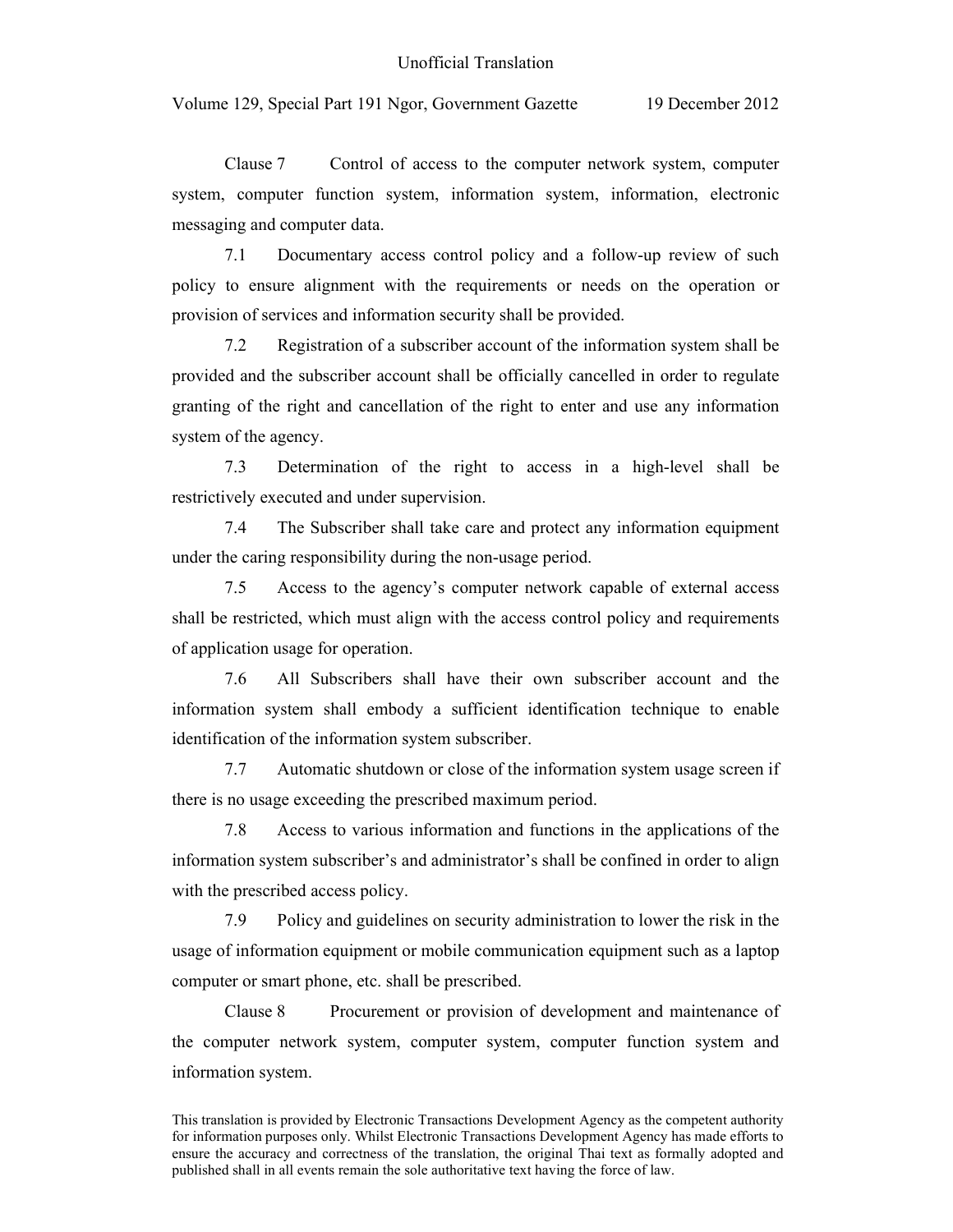Clause 7 Control of access to the computer network system, computer system, computer function system, information system, information, electronic messaging and computer data.

7.1 Documentary access control policy and a follow-up review of such policy to ensure alignment with the requirements or needs on the operation or provision of services and information security shall be provided.

7.2 Registration of a subscriber account of the information system shall be provided and the subscriber account shall be officially cancelled in order to regulate granting of the right and cancellation of the right to enter and use any information system of the agency.

7.3 Determination of the right to access in a high-level shall be restrictively executed and under supervision.

7.4 The Subscriber shall take care and protect any information equipment under the caring responsibility during the non-usage period.

7.5 Access to the agency's computer network capable of external access shall be restricted, which must align with the access control policy and requirements of application usage for operation.

7.6 All Subscribers shall have their own subscriber account and the information system shall embody a sufficient identification technique to enable identification of the information system subscriber.

7.7 Automatic shutdown or close of the information system usage screen if there is no usage exceeding the prescribed maximum period.

7.8 Access to various information and functions in the applications of the information system subscriber's and administrator's shall be confined in order to align with the prescribed access policy.

7.9 Policy and guidelines on security administration to lower the risk in the usage of information equipment or mobile communication equipment such as a laptop computer or smart phone, etc. shall be prescribed.

Clause 8 Procurement or provision of development and maintenance of the computer network system, computer system, computer function system and information system.

This translation is provided by Electronic Transactions Development Agency as the competent authority for information purposes only. Whilst Electronic Transactions Development Agency has made efforts to ensure the accuracy and correctness of the translation, the original Thai text as formally adopted and published shall in all events remain the sole authoritative text having the force of law.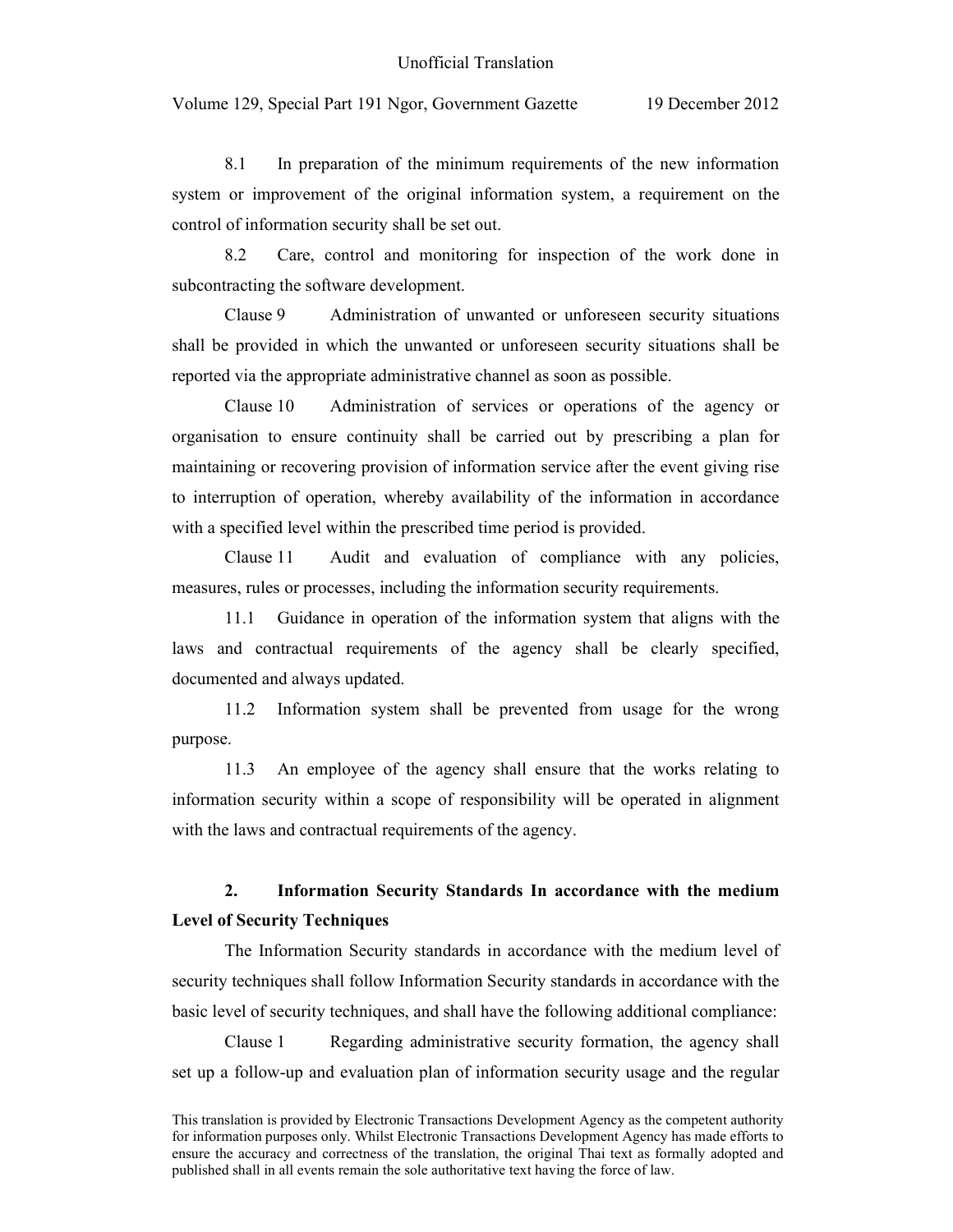Volume 129, Special Part 191 Ngor, Government Gazette 19 December 2012

8.1 In preparation of the minimum requirements of the new information system or improvement of the original information system, a requirement on the control of information security shall be set out.

8.2 Care, control and monitoring for inspection of the work done in subcontracting the software development.

Clause 9 Administration of unwanted or unforeseen security situations shall be provided in which the unwanted or unforeseen security situations shall be reported via the appropriate administrative channel as soon as possible.

Clause 10 Administration of services or operations of the agency or organisation to ensure continuity shall be carried out by prescribing a plan for maintaining or recovering provision of information service after the event giving rise to interruption of operation, whereby availability of the information in accordance with a specified level within the prescribed time period is provided.

Clause 11 Audit and evaluation of compliance with any policies, measures, rules or processes, including the information security requirements.

11.1 Guidance in operation of the information system that aligns with the laws and contractual requirements of the agency shall be clearly specified, documented and always updated.

11.2 Information system shall be prevented from usage for the wrong purpose.

11.3 An employee of the agency shall ensure that the works relating to information security within a scope of responsibility will be operated in alignment with the laws and contractual requirements of the agency.

### **2. Information Security Standards In accordance with the medium Level of Security Techniques**

The Information Security standards in accordance with the medium level of security techniques shall follow Information Security standards in accordance with the basic level of security techniques, and shall have the following additional compliance:

Clause 1 Regarding administrative security formation, the agency shall set up a follow-up and evaluation plan of information security usage and the regular

This translation is provided by Electronic Transactions Development Agency as the competent authority for information purposes only. Whilst Electronic Transactions Development Agency has made efforts to ensure the accuracy and correctness of the translation, the original Thai text as formally adopted and published shall in all events remain the sole authoritative text having the force of law.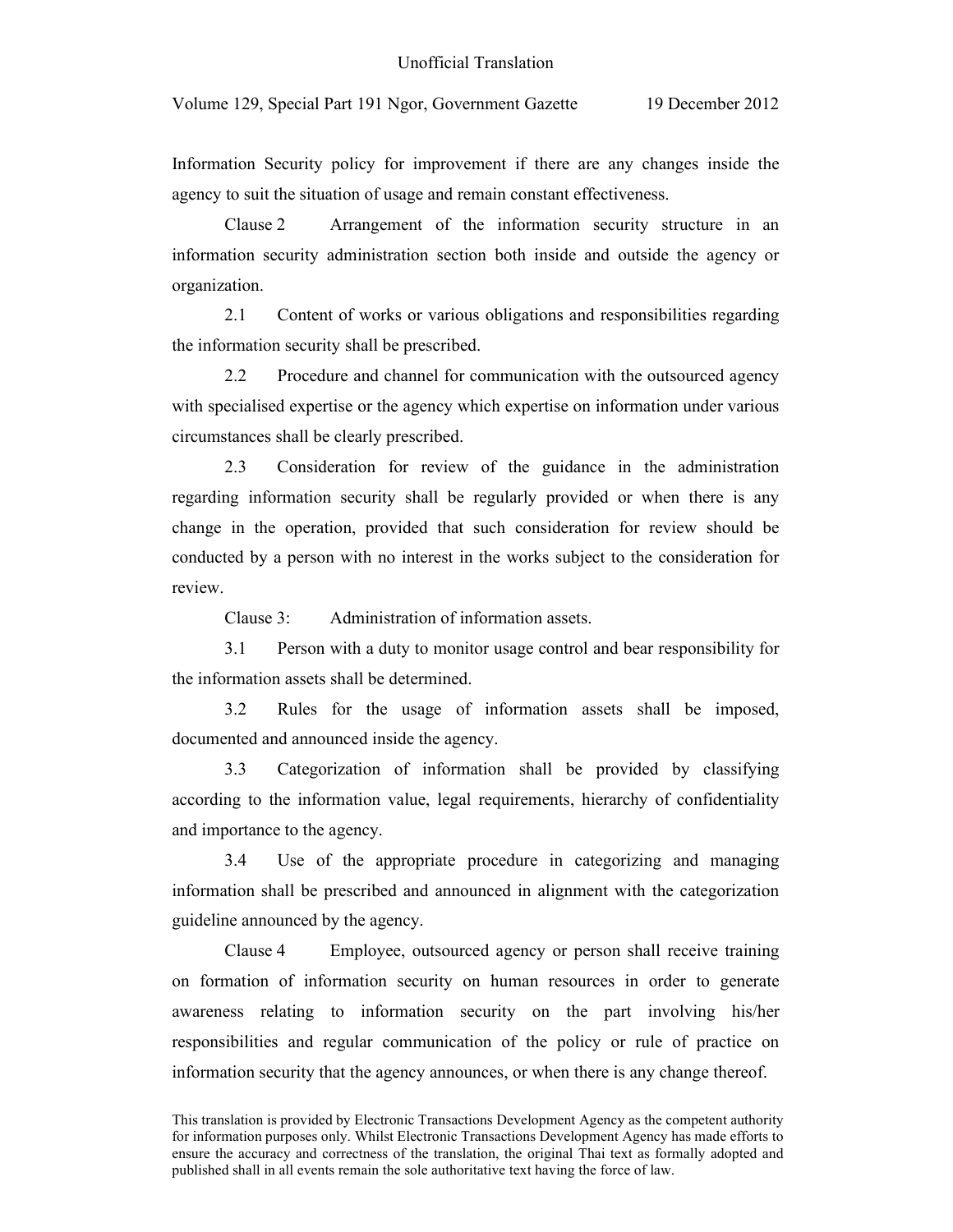Volume 129, Special Part 191 Ngor, Government Gazette 19 December 2012

Information Security policy for improvement if there are any changes inside the agency to suit the situation of usage and remain constant effectiveness.

Clause 2 Arrangement of the information security structure in an information security administration section both inside and outside the agency or organization.

2.1 Content of works or various obligations and responsibilities regarding the information security shall be prescribed.

2.2 Procedure and channel for communication with the outsourced agency with specialised expertise or the agency which expertise on information under various circumstances shall be clearly prescribed.

2.3 Consideration for review of the guidance in the administration regarding information security shall be regularly provided or when there is any change in the operation, provided that such consideration for review should be conducted by a person with no interest in the works subject to the consideration for review.

Clause 3: Administration of information assets.

3.1 Person with a duty to monitor usage control and bear responsibility for the information assets shall be determined.

3.2 Rules for the usage of information assets shall be imposed, documented and announced inside the agency.

3.3 Categorization of information shall be provided by classifying according to the information value, legal requirements, hierarchy of confidentiality and importance to the agency.

3.4 Use of the appropriate procedure in categorizing and managing information shall be prescribed and announced in alignment with the categorization guideline announced by the agency.

Clause 4 Employee, outsourced agency or person shall receive training on formation of information security on human resources in order to generate awareness relating to information security on the part involving his/her responsibilities and regular communication of the policy or rule of practice on information security that the agency announces, or when there is any change thereof.

This translation is provided by Electronic Transactions Development Agency as the competent authority for information purposes only. Whilst Electronic Transactions Development Agency has made efforts to ensure the accuracy and correctness of the translation, the original Thai text as formally adopted and published shall in all events remain the sole authoritative text having the force of law.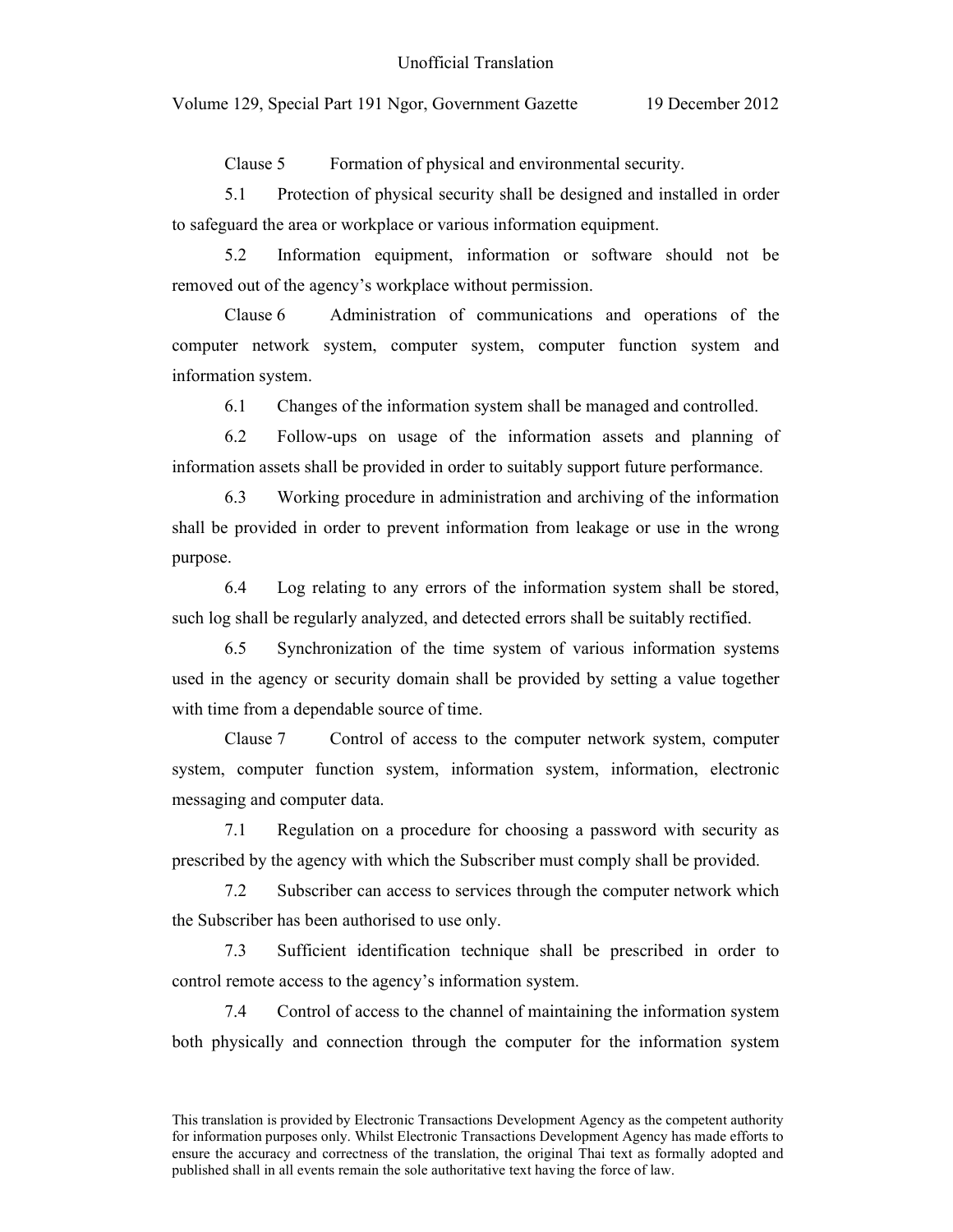Clause 5 Formation of physical and environmental security.

5.1 Protection of physical security shall be designed and installed in order to safeguard the area or workplace or various information equipment.

5.2 Information equipment, information or software should not be removed out of the agency's workplace without permission.

Clause 6 Administration of communications and operations of the computer network system, computer system, computer function system and information system.

6.1 Changes of the information system shall be managed and controlled.

6.2 Follow-ups on usage of the information assets and planning of information assets shall be provided in order to suitably support future performance.

6.3 Working procedure in administration and archiving of the information shall be provided in order to prevent information from leakage or use in the wrong purpose.

6.4 Log relating to any errors of the information system shall be stored, such log shall be regularly analyzed, and detected errors shall be suitably rectified.

6.5 Synchronization of the time system of various information systems used in the agency or security domain shall be provided by setting a value together with time from a dependable source of time.

Clause 7 Control of access to the computer network system, computer system, computer function system, information system, information, electronic messaging and computer data.

7.1 Regulation on a procedure for choosing a password with security as prescribed by the agency with which the Subscriber must comply shall be provided.

7.2 Subscriber can access to services through the computer network which the Subscriber has been authorised to use only.

7.3 Sufficient identification technique shall be prescribed in order to control remote access to the agency's information system.

7.4 Control of access to the channel of maintaining the information system both physically and connection through the computer for the information system

This translation is provided by Electronic Transactions Development Agency as the competent authority for information purposes only. Whilst Electronic Transactions Development Agency has made efforts to ensure the accuracy and correctness of the translation, the original Thai text as formally adopted and published shall in all events remain the sole authoritative text having the force of law.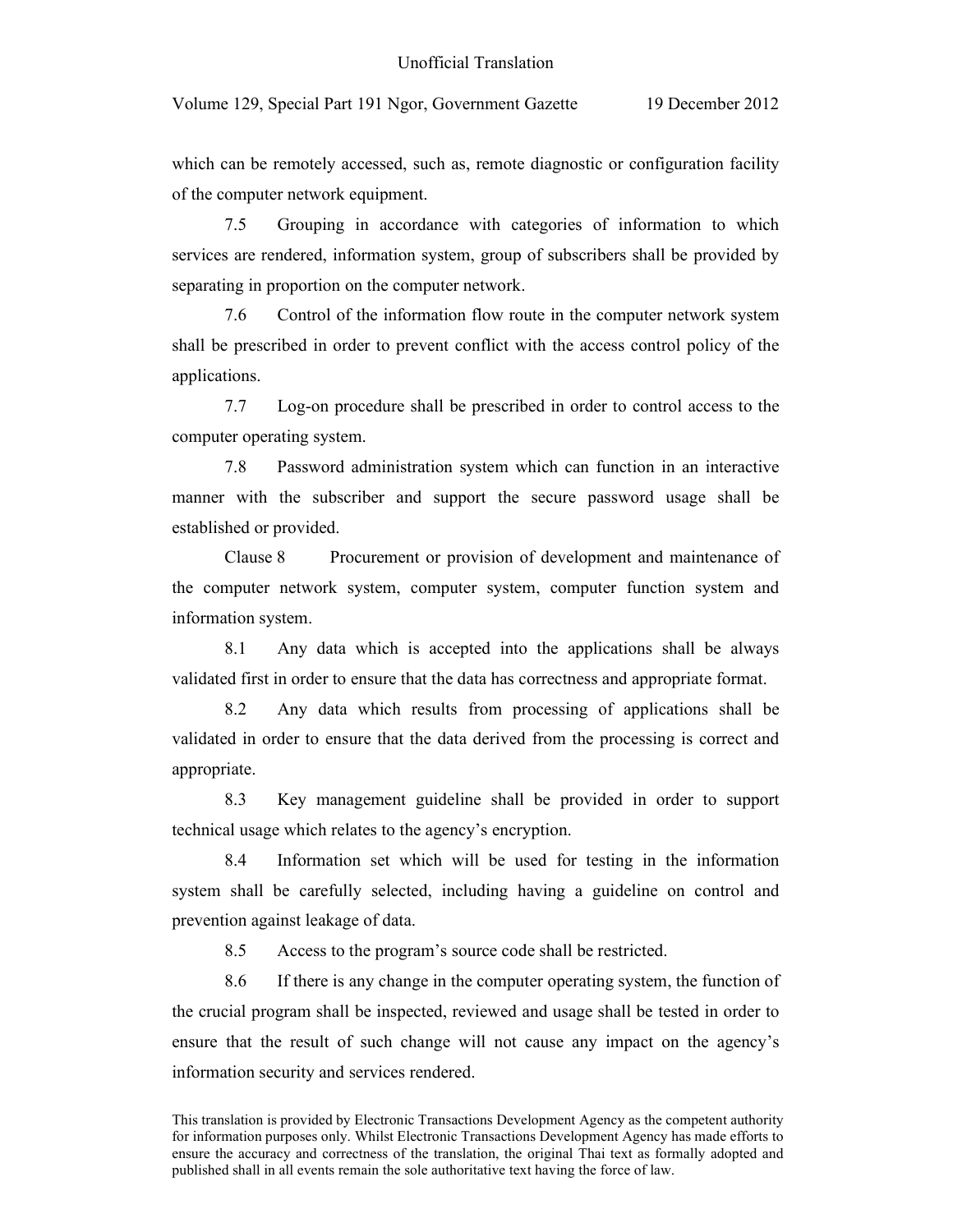which can be remotely accessed, such as, remote diagnostic or configuration facility of the computer network equipment.

7.5 Grouping in accordance with categories of information to which services are rendered, information system, group of subscribers shall be provided by separating in proportion on the computer network.

7.6 Control of the information flow route in the computer network system shall be prescribed in order to prevent conflict with the access control policy of the applications.

7.7 Log-on procedure shall be prescribed in order to control access to the computer operating system.

7.8 Password administration system which can function in an interactive manner with the subscriber and support the secure password usage shall be established or provided.

Clause 8 Procurement or provision of development and maintenance of the computer network system, computer system, computer function system and information system.

8.1 Any data which is accepted into the applications shall be always validated first in order to ensure that the data has correctness and appropriate format.

8.2 Any data which results from processing of applications shall be validated in order to ensure that the data derived from the processing is correct and appropriate.

8.3 Key management guideline shall be provided in order to support technical usage which relates to the agency's encryption.

8.4 Information set which will be used for testing in the information system shall be carefully selected, including having a guideline on control and prevention against leakage of data.

8.5 Access to the program's source code shall be restricted.

8.6 If there is any change in the computer operating system, the function of the crucial program shall be inspected, reviewed and usage shall be tested in order to ensure that the result of such change will not cause any impact on the agency's information security and services rendered.

This translation is provided by Electronic Transactions Development Agency as the competent authority for information purposes only. Whilst Electronic Transactions Development Agency has made efforts to ensure the accuracy and correctness of the translation, the original Thai text as formally adopted and published shall in all events remain the sole authoritative text having the force of law.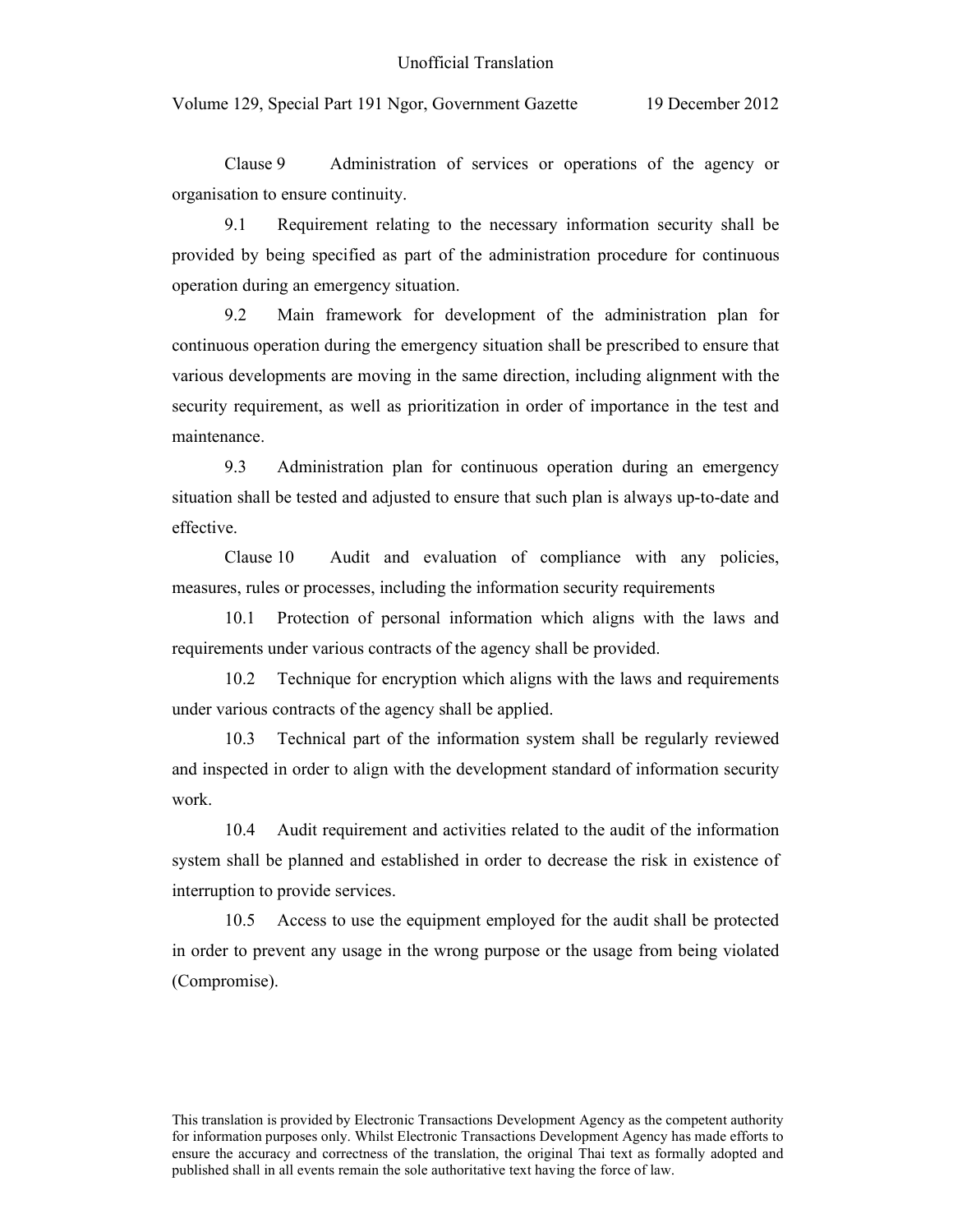Clause 9 Administration of services or operations of the agency or organisation to ensure continuity.

9.1 Requirement relating to the necessary information security shall be provided by being specified as part of the administration procedure for continuous operation during an emergency situation.

9.2 Main framework for development of the administration plan for continuous operation during the emergency situation shall be prescribed to ensure that various developments are moving in the same direction, including alignment with the security requirement, as well as prioritization in order of importance in the test and maintenance.

9.3 Administration plan for continuous operation during an emergency situation shall be tested and adjusted to ensure that such plan is always up-to-date and effective.

Clause 10 Audit and evaluation of compliance with any policies, measures, rules or processes, including the information security requirements

10.1 Protection of personal information which aligns with the laws and requirements under various contracts of the agency shall be provided.

10.2 Technique for encryption which aligns with the laws and requirements under various contracts of the agency shall be applied.

10.3 Technical part of the information system shall be regularly reviewed and inspected in order to align with the development standard of information security work.

10.4 Audit requirement and activities related to the audit of the information system shall be planned and established in order to decrease the risk in existence of interruption to provide services.

10.5 Access to use the equipment employed for the audit shall be protected in order to prevent any usage in the wrong purpose or the usage from being violated (Compromise).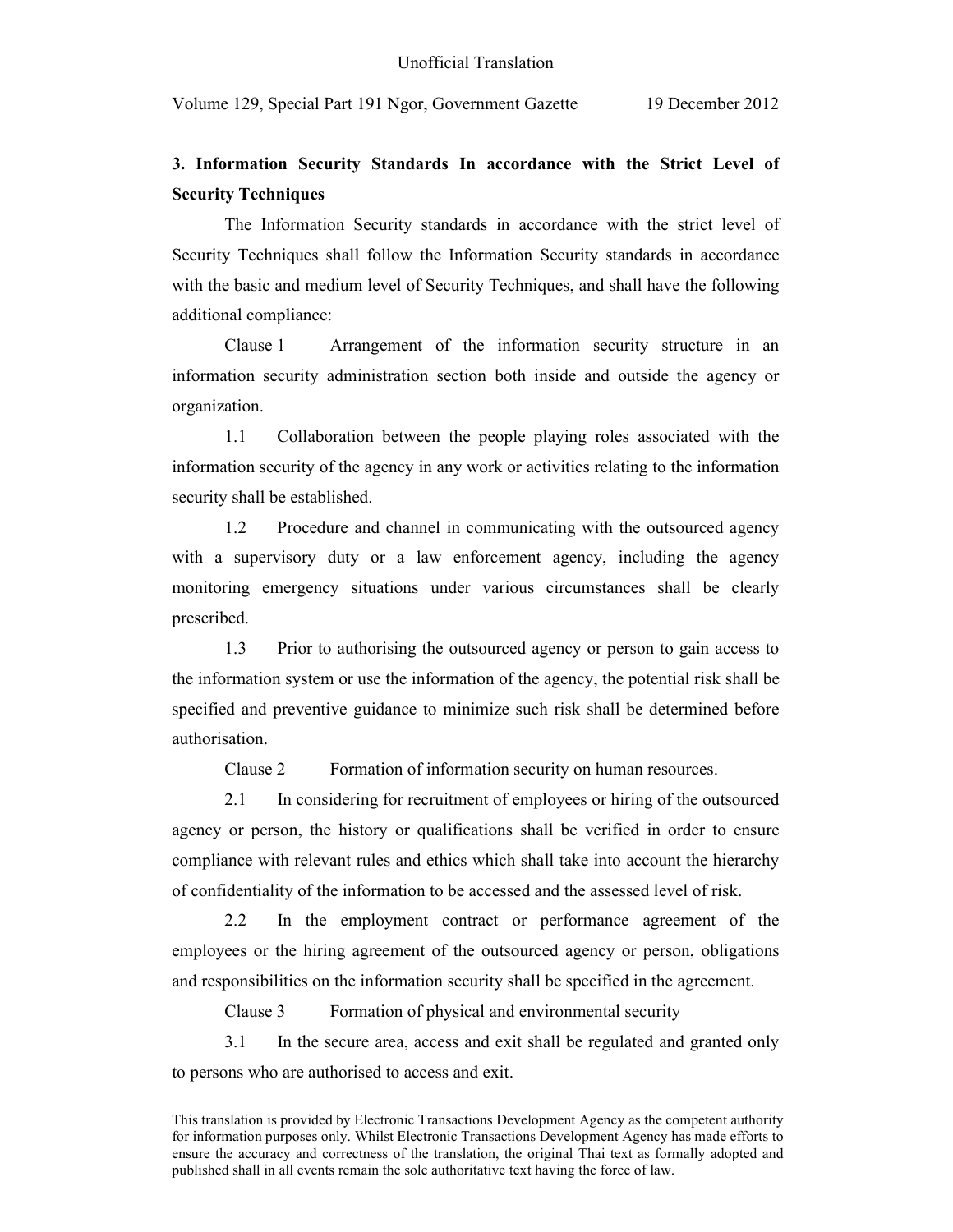### **3. Information Security Standards In accordance with the Strict Level of Security Techniques**

The Information Security standards in accordance with the strict level of Security Techniques shall follow the Information Security standards in accordance with the basic and medium level of Security Techniques, and shall have the following additional compliance:

Clause 1 Arrangement of the information security structure in an information security administration section both inside and outside the agency or organization.

1.1 Collaboration between the people playing roles associated with the information security of the agency in any work or activities relating to the information security shall be established.

1.2 Procedure and channel in communicating with the outsourced agency with a supervisory duty or a law enforcement agency, including the agency monitoring emergency situations under various circumstances shall be clearly prescribed.

1.3 Prior to authorising the outsourced agency or person to gain access to the information system or use the information of the agency, the potential risk shall be specified and preventive guidance to minimize such risk shall be determined before authorisation.

Clause 2 Formation of information security on human resources.

2.1 In considering for recruitment of employees or hiring of the outsourced agency or person, the history or qualifications shall be verified in order to ensure compliance with relevant rules and ethics which shall take into account the hierarchy of confidentiality of the information to be accessed and the assessed level of risk.

2.2 In the employment contract or performance agreement of the employees or the hiring agreement of the outsourced agency or person, obligations and responsibilities on the information security shall be specified in the agreement.

Clause 3 Formation of physical and environmental security

3.1 In the secure area, access and exit shall be regulated and granted only to persons who are authorised to access and exit.

This translation is provided by Electronic Transactions Development Agency as the competent authority for information purposes only. Whilst Electronic Transactions Development Agency has made efforts to ensure the accuracy and correctness of the translation, the original Thai text as formally adopted and published shall in all events remain the sole authoritative text having the force of law.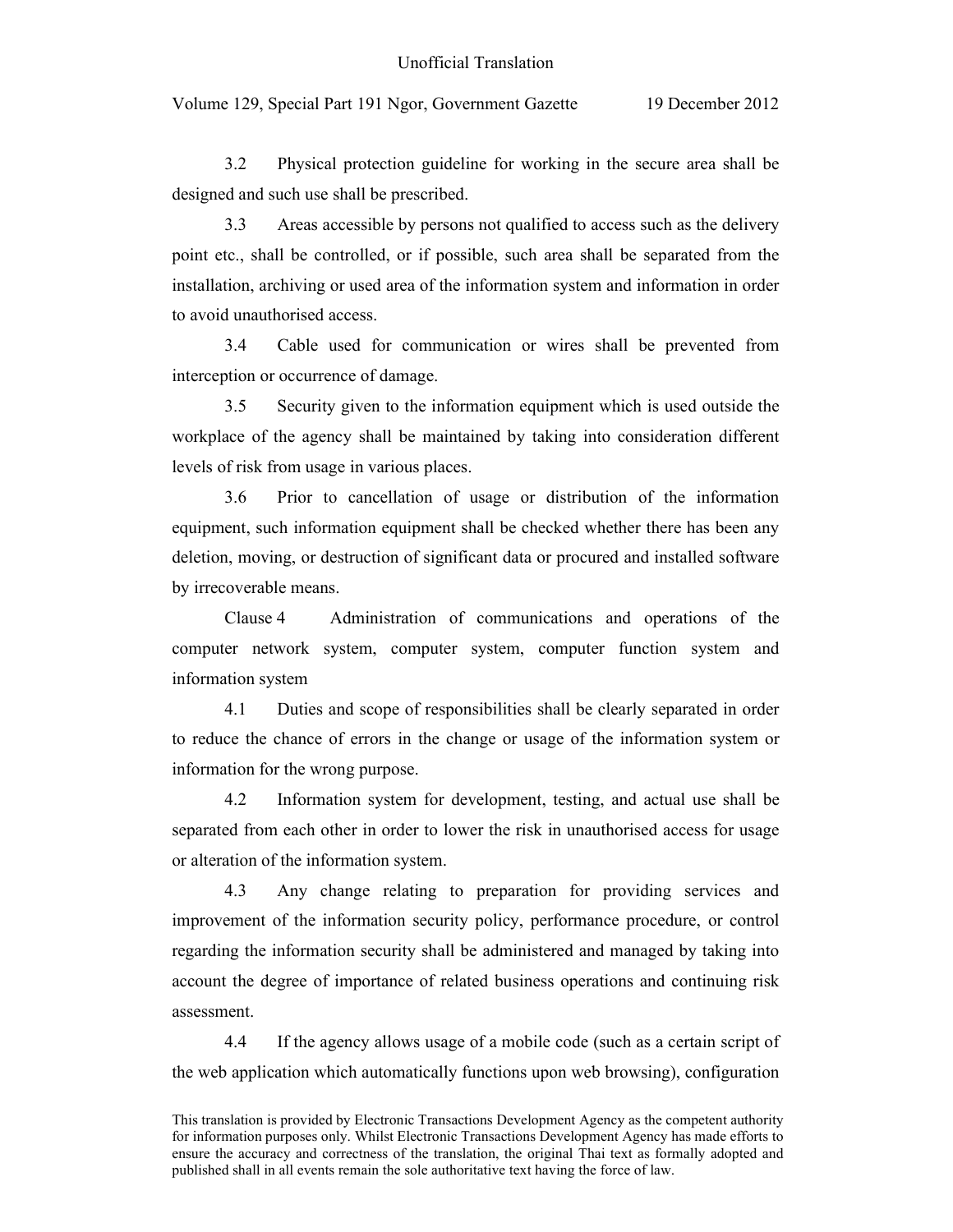Volume 129, Special Part 191 Ngor, Government Gazette 19 December 2012

3.2 Physical protection guideline for working in the secure area shall be designed and such use shall be prescribed.

3.3 Areas accessible by persons not qualified to access such as the delivery point etc., shall be controlled, or if possible, such area shall be separated from the installation, archiving or used area of the information system and information in order to avoid unauthorised access.

3.4 Cable used for communication or wires shall be prevented from interception or occurrence of damage.

3.5 Security given to the information equipment which is used outside the workplace of the agency shall be maintained by taking into consideration different levels of risk from usage in various places.

3.6 Prior to cancellation of usage or distribution of the information equipment, such information equipment shall be checked whether there has been any deletion, moving, or destruction of significant data or procured and installed software by irrecoverable means.

Clause 4 Administration of communications and operations of the computer network system, computer system, computer function system and information system

4.1 Duties and scope of responsibilities shall be clearly separated in order to reduce the chance of errors in the change or usage of the information system or information for the wrong purpose.

4.2 Information system for development, testing, and actual use shall be separated from each other in order to lower the risk in unauthorised access for usage or alteration of the information system.

4.3 Any change relating to preparation for providing services and improvement of the information security policy, performance procedure, or control regarding the information security shall be administered and managed by taking into account the degree of importance of related business operations and continuing risk assessment.

4.4 If the agency allows usage of a mobile code (such as a certain script of the web application which automatically functions upon web browsing), configuration

This translation is provided by Electronic Transactions Development Agency as the competent authority for information purposes only. Whilst Electronic Transactions Development Agency has made efforts to ensure the accuracy and correctness of the translation, the original Thai text as formally adopted and published shall in all events remain the sole authoritative text having the force of law.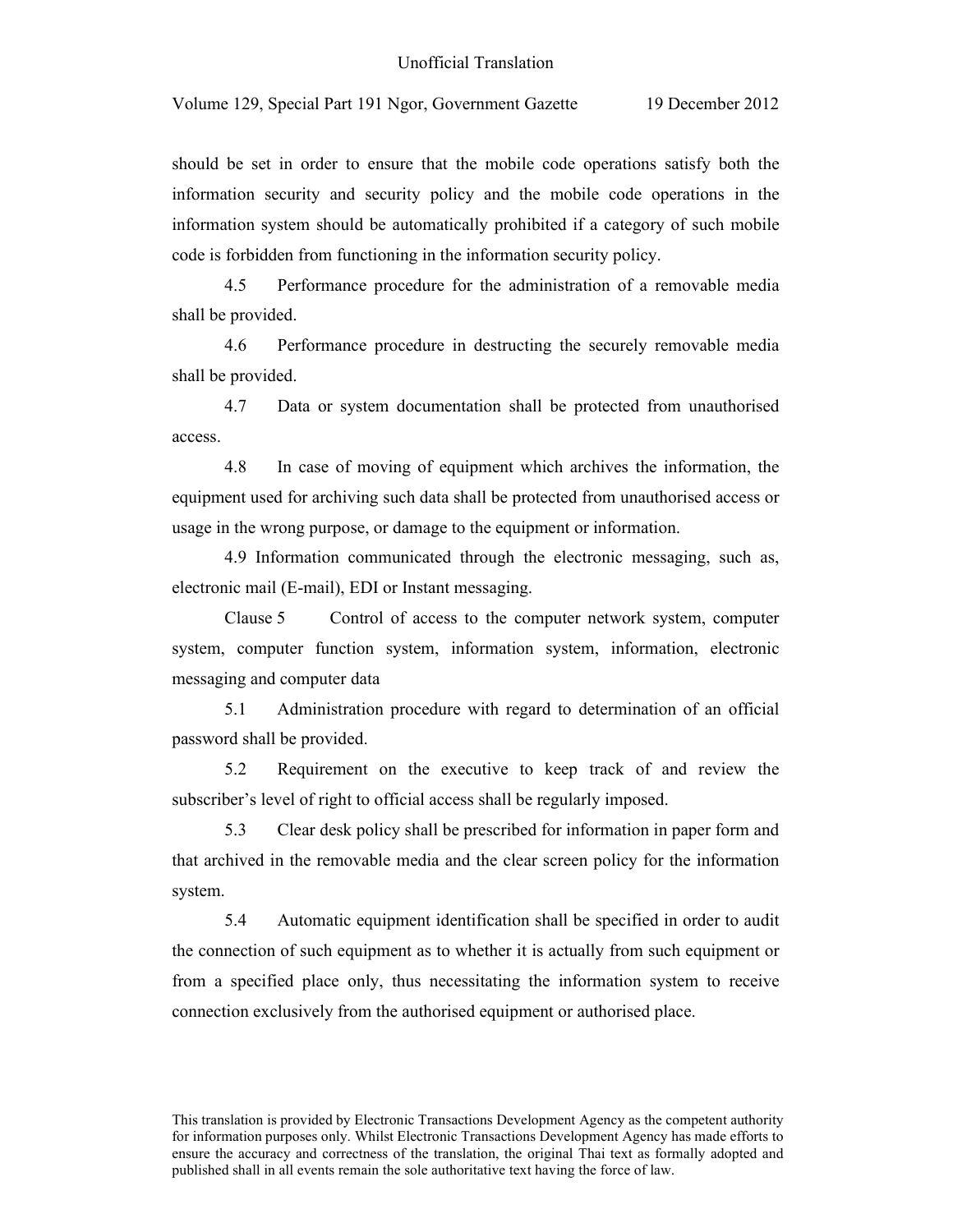should be set in order to ensure that the mobile code operations satisfy both the information security and security policy and the mobile code operations in the information system should be automatically prohibited if a category of such mobile code is forbidden from functioning in the information security policy.

4.5 Performance procedure for the administration of a removable media shall be provided.

4.6 Performance procedure in destructing the securely removable media shall be provided.

4.7 Data or system documentation shall be protected from unauthorised access.

4.8 In case of moving of equipment which archives the information, the equipment used for archiving such data shall be protected from unauthorised access or usage in the wrong purpose, or damage to the equipment or information.

4.9 Information communicated through the electronic messaging, such as, electronic mail (E-mail), EDI or Instant messaging.

Clause 5 Control of access to the computer network system, computer system, computer function system, information system, information, electronic messaging and computer data

5.1 Administration procedure with regard to determination of an official password shall be provided.

5.2 Requirement on the executive to keep track of and review the subscriber's level of right to official access shall be regularly imposed.

5.3 Clear desk policy shall be prescribed for information in paper form and that archived in the removable media and the clear screen policy for the information system.

5.4 Automatic equipment identification shall be specified in order to audit the connection of such equipment as to whether it is actually from such equipment or from a specified place only, thus necessitating the information system to receive connection exclusively from the authorised equipment or authorised place.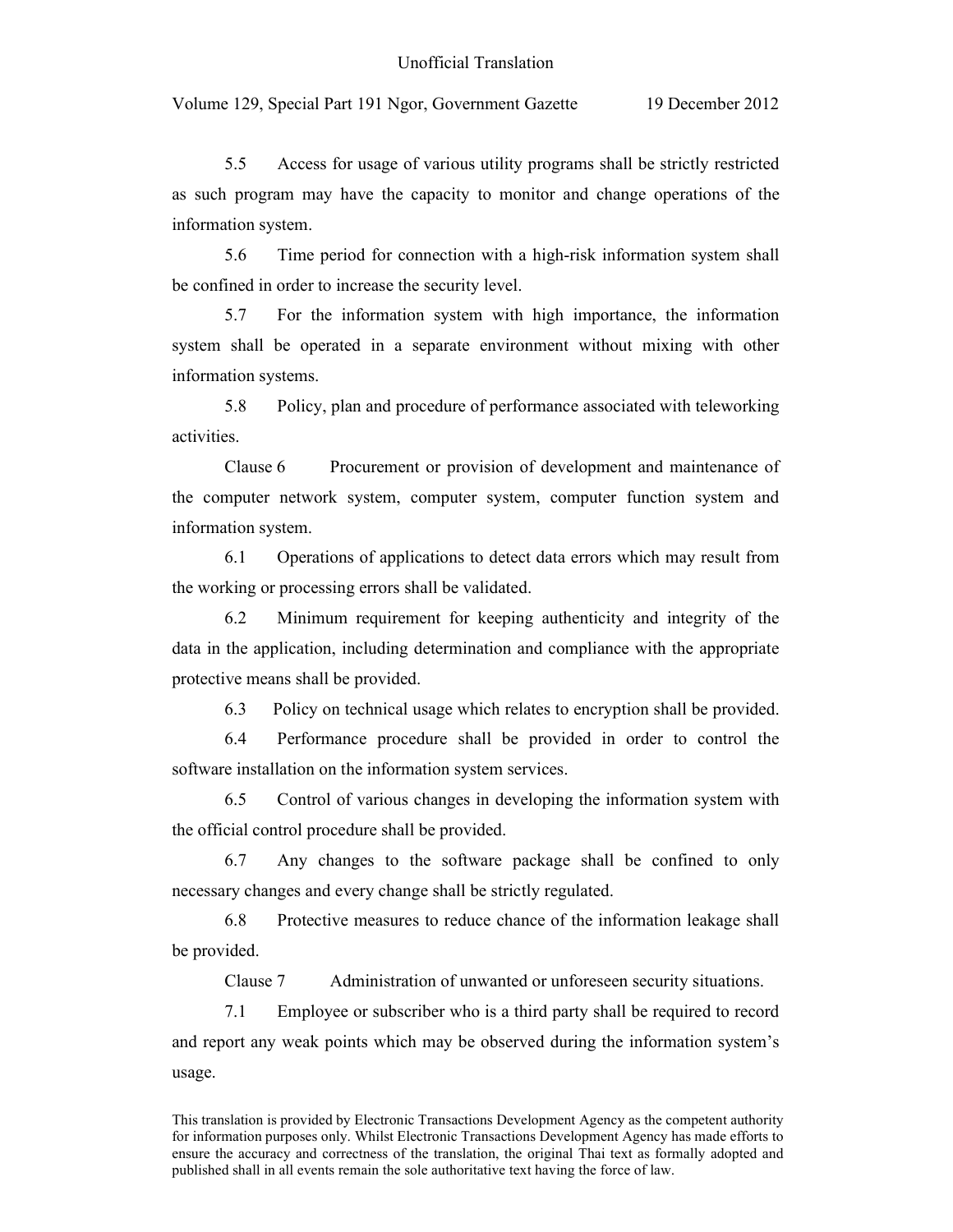5.5 Access for usage of various utility programs shall be strictly restricted as such program may have the capacity to monitor and change operations of the information system.

5.6 Time period for connection with a high-risk information system shall be confined in order to increase the security level.

5.7 For the information system with high importance, the information system shall be operated in a separate environment without mixing with other information systems.

5.8 Policy, plan and procedure of performance associated with teleworking activities.

Clause 6 Procurement or provision of development and maintenance of the computer network system, computer system, computer function system and information system.

6.1 Operations of applications to detect data errors which may result from the working or processing errors shall be validated.

6.2 Minimum requirement for keeping authenticity and integrity of the data in the application, including determination and compliance with the appropriate protective means shall be provided.

6.3 Policy on technical usage which relates to encryption shall be provided.

6.4 Performance procedure shall be provided in order to control the software installation on the information system services.

6.5 Control of various changes in developing the information system with the official control procedure shall be provided.

6.7 Any changes to the software package shall be confined to only necessary changes and every change shall be strictly regulated.

6.8 Protective measures to reduce chance of the information leakage shall be provided.

Clause 7 Administration of unwanted or unforeseen security situations.

7.1 Employee or subscriber who is a third party shall be required to record and report any weak points which may be observed during the information system's usage.